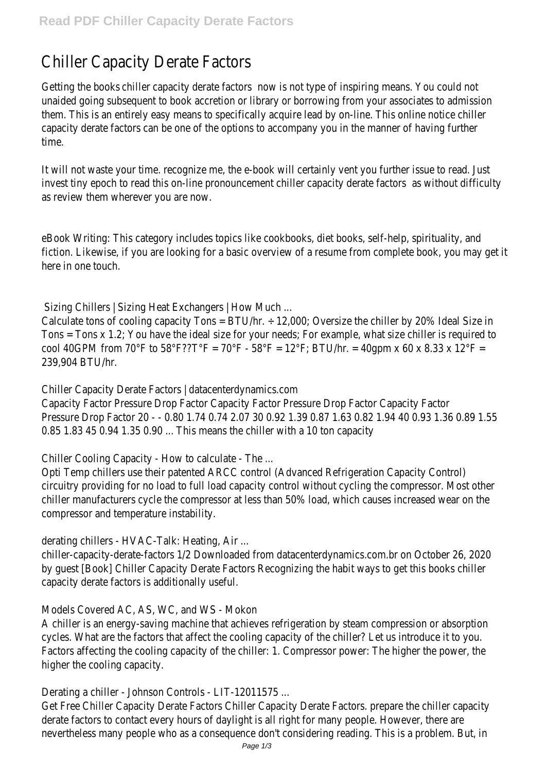## Chiller Capacity Derate Factors

Getting the boot siller capacity derate factors is not type of inspiring means. You could not unaided going subsequent to book accretion or library or borrowing from your associates to ad them. This is an entirely easy means to specifically acquire lead by on-line. This online notice chi capacity derate factors can be one of the options to accompany you in the manner of having further time.

It will not waste your time, recognize me, the e-book will certainly vent you further issue to read. invest tiny epoch to read this on-line pronounce interpretive derate factors without difficulty as review them wherever you are now.

eBook Writing: This category includes topics like cookbooks, diet books, self-help, spirituality, an fiction. Likewise, if you are looking for a basic overview of a resume from complete book, you m here in one touch.

Sizing Chillers | Sizing Heat Exchangers | How Much ...

Calculate tons of cooling capacity Tons = BTU/hr.  $\div$  12,000; Oversize the chiller by 20% Ideal Si Tons = Tons x 1.2; You have the ideal size for your needs; For example, what size chiller is required to the to cool 40GPM from 70°F to 58°F??T°F = 70°F - 58°F = 12°F; BTU/hr. = 40qpm x 60 x 8.33 x 12°I 239,904 BTU/hr.

Chiller Capacity Derate Factors | datacenterdynamics.com

Capacity Factor Pressure Drop Factor Capacity Factor Pressure Drop Factor Capacity Factor Pressure Drop Factor 20 - - 0.80 1.74 0.74 2.07 30 0.92 1.39 0.87 1.63 0.82 1.94 40 0.93 1. 0.85 1.83 45 0.94 1.35 0.90 ... This means the chiller with a 10 ton capacity

Chiller Cooling Capacity - How to calculate - The ...

Opti Temp chillers use their patented ARCC control (Advanced Refrigeration Capacity Control) circuitry providing for no load to full load capacity control without cycling the compressor. Most chiller manufacturers cycle the compressor at less than 50% load, which causes increased wea compressor and temperature instability.

derating chillers - HVAC-Talk: Heating, Air ...

chiller-capacity-derate-factors 1/2 Downloaded from datacenterdynamics.com.br on October 26 by guest [Book] Chiller Capacity Derate Factors Recognizing the habit ways to get this books chill capacity derate factors is additionally useful.

Models Covered AC, AS, WC, and WS - Mokon

A chiller is an energy-saving machine that achieves refrigeration by steam compression or absor cycles. What are the factors that affect the cooling capacity of the chiller? Let us introduce it Factors affecting the cooling capacity of the chiller: 1. Compressor power: The higher the powe higher the cooling capacity.

Derating a chiller - Johnson Controls - LIT-12011575 ...

Get Free Chiller Capacity Derate Factors Chiller Capacity Derate Factors. prepare the chiller cap derate factors to contact every hours of daylight is all right for many people. However, there a nevertheless many people who as a consequence don't considering reading. This is a problem. B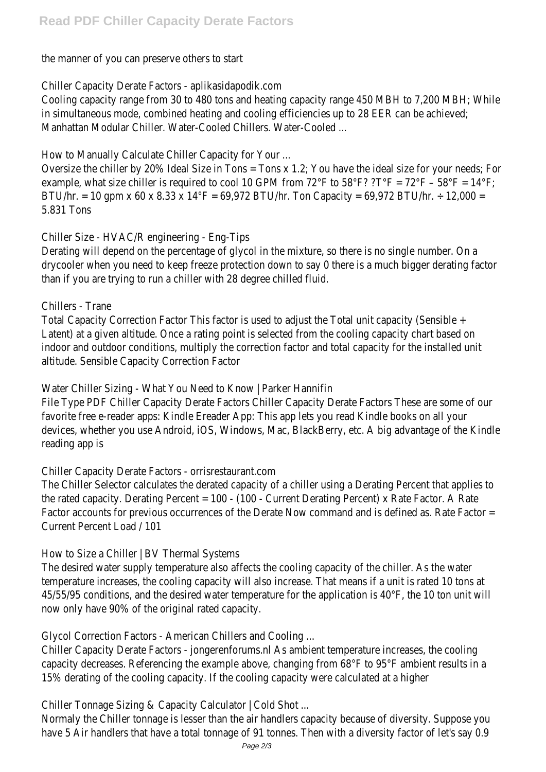the manner of you can preserve others to start

Chiller Capacity Derate Factors - aplikasidapodik.com

Cooling capacity range from 30 to 480 tons and heating capacity range 450 MBH to 7,200 MB in simultaneous mode, combined heating and cooling efficiencies up to 28 EER can be achieved; Manhattan Modular Chiller. Water-Cooled Chillers. Water-Cooled ...

How to Manually Calculate Chiller Capacity for Your ...

Oversize the chiller by 20% Ideal Size in Tons = Tons x 1.2; You have the ideal size for your need example, what size chiller is required to cool 10 GPM from 72°F to 58°F? ?T°F = 72°F - 58°F = BTU/hr. = 10 gpm x 60 x 8.33 x 14°F = 69,972 BTU/hr. Ton Capacity = 69,972 BTU/hr. ÷ 12,00 5.831 Tons

Chiller Size - HVAC/R engineering - Eng-Tips

Derating will depend on the percentage of glycol in the mixture, so there is no single number. O drycooler when you need to keep freeze protection down to say O there is a much bigger derat than if you are trying to run a chiller with 28 degree chilled fluid.

Chillers - Trane

Total Capacity Correction Factor This factor is used to adjust the Total unit capacity (Sensible + Latent) at a given altitude. Once a rating point is selected from the cooling capacity chart base indoor and outdoor conditions, multiply the correction factor and total capacity for the installed altitude. Sensible Capacity Correction Factor

Water Chiller Sizing - What You Need to Know | Parker Hannifin

File Type PDF Chiller Capacity Derate Factors Chiller Capacity Derate Factors These are some of favorite free e-reader apps: Kindle Ereader App: This app lets you read Kindle books on all your devices, whether you use Android, iOS, Windows, Mac, BlackBerry, etc. A big advantage of the K reading app is

Chiller Capacity Derate Factors - orrisrestaurant.com

The Chiller Selector calculates the derated capacity of a chiller using a Derating Percent that applies to the rated capacity. Derating Percent =  $100 - (100 -$  Current Derating Percent) x Rate Factor. A Factor accounts for previous occurrences of the Derate Now command and is defined as. Rate Current Percent Load / 101

How to Size a Chiller | BV Thermal Systems

The desired water supply temperature also affects the cooling capacity of the chiller. As the water temperature increases, the cooling capacity will also increase. That means if a unit is rated 10 to 45/55/95 conditions, and the desired water temperature for the application is 40°F, the 10 to now only have 90% of the original rated capacity.

Glycol Correction Factors - American Chillers and Cooling ...

Chiller Capacity Derate Factors - jongerenforums.nl As ambient temperature increases, the cooli capacity decreases. Referencing the example above, changing from 68°F to 95°F ambient result 15% derating of the cooling capacity. If the cooling capacity were calculated at a higher

Chiller Tonnage Sizing & Capacity Calculator | Cold Shot ...

Normaly the Chiller tonnage is lesser than the air handlers capacity because of diversity. Suppose have 5 Air handlers that have a total tonnage of 91 tonnes. Then with a diversity factor of let's